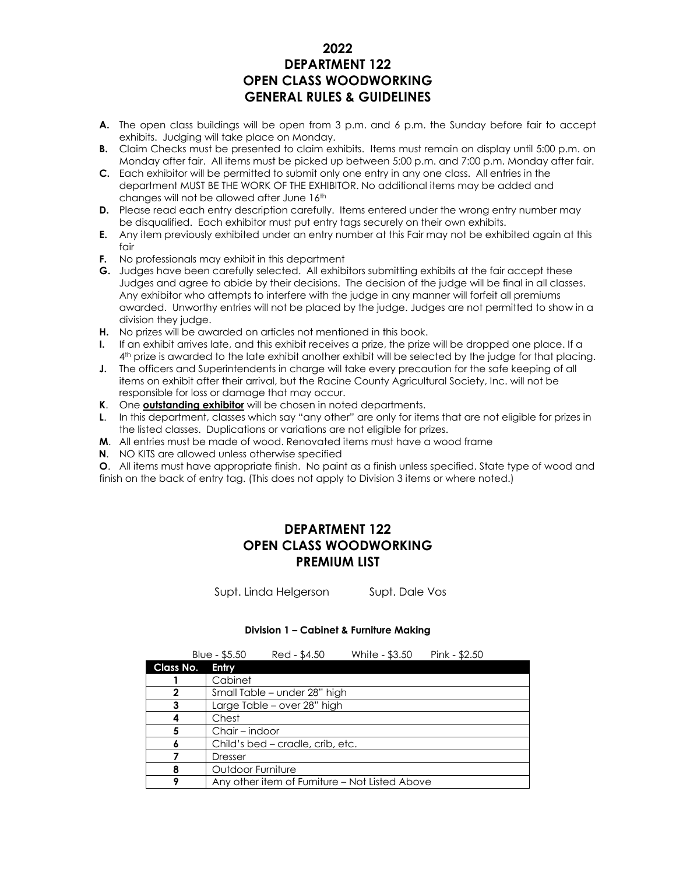# **2022 DEPARTMENT 122 OPEN CLASS WOODWORKING GENERAL RULES & GUIDELINES**

- **A.** The open class buildings will be open from 3 p.m. and 6 p.m. the Sunday before fair to accept exhibits. Judging will take place on Monday.
- **B.** Claim Checks must be presented to claim exhibits. Items must remain on display until 5:00 p.m. on Monday after fair. All items must be picked up between 5:00 p.m. and 7:00 p.m. Monday after fair.
- **C.** Each exhibitor will be permitted to submit only one entry in any one class. All entries in the department MUST BE THE WORK OF THE EXHIBITOR. No additional items may be added and changes will not be allowed after June 16th
- **D.** Please read each entry description carefully, Items entered under the wrong entry number may be disqualified. Each exhibitor must put entry tags securely on their own exhibits.
- **E.** Any item previously exhibited under an entry number at this Fair may not be exhibited again at this fair
- **F.** No professionals may exhibit in this department
- **G.** Judges have been carefully selected. All exhibitors submitting exhibits at the fair accept these Judges and agree to abide by their decisions. The decision of the judge will be final in all classes. Any exhibitor who attempts to interfere with the judge in any manner will forfeit all premiums awarded. Unworthy entries will not be placed by the judge. Judges are not permitted to show in a division they judge.
- **H.** No prizes will be awarded on articles not mentioned in this book.
- **I.** If an exhibit arrives late, and this exhibit receives a prize, the prize will be dropped one place. If a 4 th prize is awarded to the late exhibit another exhibit will be selected by the judge for that placing.
- **J.** The officers and Superintendents in charge will take every precaution for the safe keeping of all items on exhibit after their arrival, but the Racine County Agricultural Society, Inc. will not be responsible for loss or damage that may occur.
- **K**. One **outstanding exhibitor** will be chosen in noted departments.
- **L**. In this department, classes which say "any other" are only for items that are not eligible for prizes in the listed classes. Duplications or variations are not eligible for prizes.
- **M**. All entries must be made of wood. Renovated items must have a wood frame
- **N**. NO KITS are allowed unless otherwise specified

**O**. All items must have appropriate finish. No paint as a finish unless specified. State type of wood and finish on the back of entry tag. (This does not apply to Division 3 items or where noted.)

# **DEPARTMENT 122 OPEN CLASS WOODWORKING PREMIUM LIST**

Supt. Linda Helgerson Supt. Dale Vos

#### **Division 1 – Cabinet & Furniture Making**

|                  | Blue - $$5.50$    | Red - \$4.50                     | White - \$3.50                                 | Pink - $$2.50$ |
|------------------|-------------------|----------------------------------|------------------------------------------------|----------------|
| <b>Class No.</b> | Entry             |                                  |                                                |                |
|                  | Cabinet           |                                  |                                                |                |
| 2                |                   | Small Table – under 28" high     |                                                |                |
| 3                |                   | Large Table – over 28" high      |                                                |                |
|                  | Chest             |                                  |                                                |                |
| 5                | Chair – indoor    |                                  |                                                |                |
| 6                |                   | Child's bed – cradle, crib, etc. |                                                |                |
|                  | Dresser           |                                  |                                                |                |
| 8                | Outdoor Furniture |                                  |                                                |                |
| 9                |                   |                                  | Any other item of Furniture – Not Listed Above |                |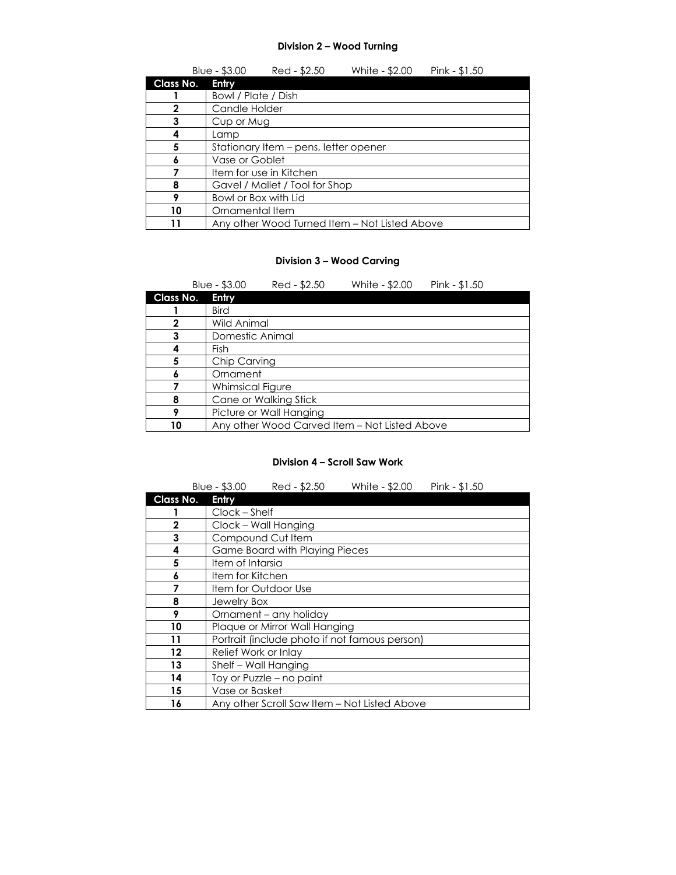#### **Division 2 – Wood Turning**

|           | Blue - \$3.00        | Red - \$2.50                          | White - \$2.00                                | Pink - \$1.50 |
|-----------|----------------------|---------------------------------------|-----------------------------------------------|---------------|
| Class No. | Entry                |                                       |                                               |               |
|           | Bowl / Plate / Dish  |                                       |                                               |               |
| 2         | Candle Holder        |                                       |                                               |               |
| 3         | Cup or Mug           |                                       |                                               |               |
|           | Lamp                 |                                       |                                               |               |
| 5         |                      | Stationary Item – pens, letter opener |                                               |               |
|           | Vase or Goblet       |                                       |                                               |               |
|           |                      | Item for use in Kitchen               |                                               |               |
| 8         |                      | Gavel / Mallet / Tool for Shop        |                                               |               |
| 9         | Bowl or Box with Lid |                                       |                                               |               |
| 10        | Ornamental Item      |                                       |                                               |               |
|           |                      |                                       | Any other Wood Turned Item – Not Listed Above |               |

### **Division 3 – Wood Carving**

|           | Blue - \$3.00    | Red - \$2.50            | White - \$2.00                                | Pink - \$1.50 |
|-----------|------------------|-------------------------|-----------------------------------------------|---------------|
| Class No. | Entry            |                         |                                               |               |
|           | <b>Bird</b>      |                         |                                               |               |
| 2         | Wild Animal      |                         |                                               |               |
| 3         | Domestic Animal  |                         |                                               |               |
|           | Fish             |                         |                                               |               |
| 5         | Chip Carving     |                         |                                               |               |
|           | Ornament         |                         |                                               |               |
|           | Whimsical Figure |                         |                                               |               |
| 8         |                  | Cane or Walking Stick   |                                               |               |
| 9         |                  | Picture or Wall Hanging |                                               |               |
| 10        |                  |                         | Any other Wood Carved Item - Not Listed Above |               |

### **Division 4 – Scroll Saw Work**

|              | Blue - \$3.00<br>Red - \$2.50<br>White - \$2.00 | Pink - \$1.50 |  |
|--------------|-------------------------------------------------|---------------|--|
| Class No.    | Entry                                           |               |  |
|              | Clock - Shelf                                   |               |  |
| $\mathbf{2}$ | Clock - Wall Hanging                            |               |  |
| 3            | Compound Cut Item                               |               |  |
| 4            | Game Board with Playing Pieces                  |               |  |
| 5            | Item of Intarsia                                |               |  |
| 6            | Item for Kitchen                                |               |  |
| 7            | Item for Outdoor Use                            |               |  |
| 8            | <b>Jewelry Box</b>                              |               |  |
| 9            | Ornament - any holiday                          |               |  |
| 10           | Plaque or Mirror Wall Hanging                   |               |  |
| 11           | Portrait (include photo if not famous person)   |               |  |
| 12           | Relief Work or Inlay                            |               |  |
| 13           | Shelf - Wall Hanging                            |               |  |
| 14           | Toy or Puzzle - no paint                        |               |  |
| 15           | Vase or Basket                                  |               |  |
| 16           | Any other Scroll Saw Item – Not Listed Above    |               |  |